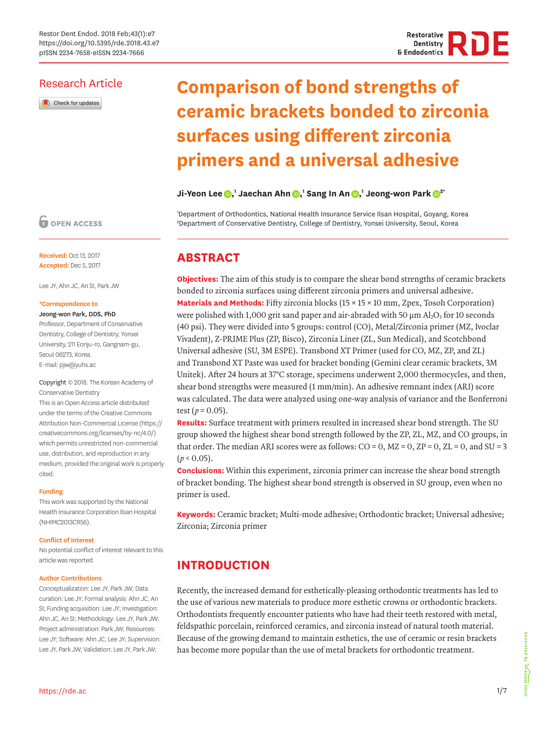## Research Article

Check for updates

**O** OPEN ACCESS

**Received:** Oct 13, 2017 **Accepted:** Dec 5, 2017

Lee JY, Ahn JC, An SI, Park JW

#### **\*Correspondence to**

### Jeong-won Park, DDS, PhD

Professor, Department of Conservative Dentistry, College of Dentistry, Yonsei University, 211 Eonju-ro, Gangnam-gu, Seoul 06273, Korea. E-mail: pjw@yuhs.ac

#### Copyright © 2018. The Korean Academy of Conservative Dentistry

This is an Open Access article distributed under the terms of the Creative Commons Attribution Non-Commercial License [\(https://](https://creativecommons.org/licenses/by-nc/4.0/) [creativecommons.org/licenses/by-nc/4.0/](https://creativecommons.org/licenses/by-nc/4.0/)) which permits unrestricted non-commercial use, distribution, and reproduction in any medium, provided the original work is properly cited.

#### **Funding**

This work was supported by the National Health Insurance Corporation Ilsan Hospital (NHIMC2013CR56).

#### **Conflict of Interest**

No potential conflict of interest relevant to this article was reported.

#### **Author Contributions**

Conceptualization: Lee JY, Park JW; Data curation: Lee JY; Formal analysis: Ahn JC, An SI; Funding acquisition: Lee JY; Investigation: Ahn JC, An SI; Methodology: Lee JY, Park JW; Project administration: Park JW; Resources: Lee JY; Software: Ahn JC, Lee JY; Supervision: Lee JY, Park JW; Validation: Lee JY, Park JW;

# **Comparison of bond strengths of ceramic brackets bonded to zirconia surfaces using different zirconia primers and a universal adhesive**

## **Ji-Yeon Lee [,](https://orcid.org/0000-0002-4738-1184) 1 Jaechan Ahn [,](https://orcid.org/0000-0002-0079-7238) 1 Sang In An [,](https://orcid.org/0000-0002-0117-7700) 1 Jeong-won Park [2](https://orcid.org/0000-0002-2517-8150)\***

1 Department of Orthodontics, National Health Insurance Service Ilsan Hospital, Goyang, Korea 2 Department of Conservative Dentistry, College of Dentistry, Yonsei University, Seoul, Korea

## **ABSTRACT**

**Objectives:** The aim of this study is to compare the shear bond strengths of ceramic brackets bonded to zirconia surfaces using different zirconia primers and universal adhesive. **Materials and Methods:** Fifty zirconia blocks (15 × 15 × 10 mm, Zpex, Tosoh Corporation) were polished with 1,000 grit sand paper and air-abraded with 50  $\mu$ m Al<sub>2</sub>O<sub>3</sub> for 10 seconds (40 psi). They were divided into 5 groups: control (CO), Metal/Zirconia primer (MZ, Ivoclar Vivadent), Z-PRIME Plus (ZP, Bisco), Zirconia Liner (ZL, Sun Medical), and Scotchbond Universal adhesive (SU, 3M ESPE). Transbond XT Primer (used for CO, MZ, ZP, and ZL) and Transbond XT Paste was used for bracket bonding (Gemini clear ceramic brackets, 3M Unitek). After 24 hours at 37°C storage, specimens underwent 2,000 thermocycles, and then, shear bond strengths were measured (1 mm/min). An adhesive remnant index (ARI) score was calculated. The data were analyzed using one-way analysis of variance and the Bonferroni test ( $p = 0.05$ ).

**Results:** Surface treatment with primers resulted in increased shear bond strength. The SU group showed the highest shear bond strength followed by the ZP, ZL, MZ, and CO groups, in that order. The median ARI scores were as follows:  $CO = 0$ ,  $MZ = 0$ ,  $ZP = 0$ ,  $ZL = 0$ , and  $SU = 3$  $(p < 0.05)$ .

**Conclusions:** Within this experiment, zirconia primer can increase the shear bond strength of bracket bonding. The highest shear bond strength is observed in SU group, even when no primer is used.

**Keywords:** Ceramic bracket; Multi-mode adhesive; Orthodontic bracket; Universal adhesive; Zirconia; Zirconia primer

# **INTRODUCTION**

Recently, the increased demand for esthetically-pleasing orthodontic treatments has led to the use of various new materials to produce more esthetic crowns or orthodontic brackets. Orthodontists frequently encounter patients who have had their teeth restored with metal, feldspathic porcelain, reinforced ceramics, and zirconia instead of natural tooth material. Because of the growing demand to maintain esthetics, the use of ceramic or resin brackets has become more popular than the use of metal brackets for orthodontic treatment.

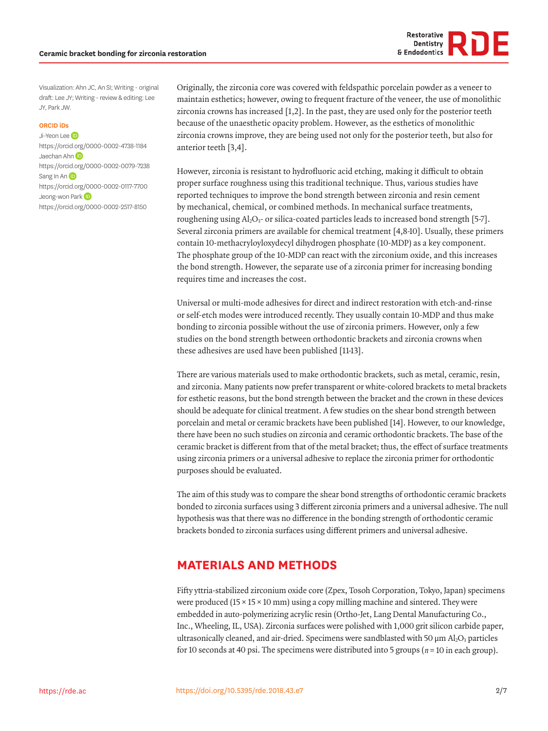

Visualization: Ahn JC, An SI; Writing - original draft: Lee JY; Writing - review & editing: Lee JY, Park JW.

#### **ORCID iDs**

Ji-Yeon Le[e](https://orcid.org/0000-0002-4738-1184) D <https://orcid.org/0000-0002-4738-1184> Jaecha[n](https://orcid.org/0000-0002-0079-7238) Ahn <https://orcid.org/0000-0002-0079-7238> Sang I[n](https://orcid.org/0000-0002-0117-7700) An <sup>iD</sup> <https://orcid.org/0000-0002-0117-7700> Jeong-won Park <https://orcid.org/0000-0002-2517-8150>

<span id="page-1-0"></span>Originally, the zirconia core was covered with feldspathic porcelain powder as a veneer to maintain esthetics; however, owing to frequent fracture of the veneer, the use of monolithic zirconia crowns has increased [\[1](#page-5-0),[2\]](#page-5-1). In the past, they are used only for the posterior teeth because of the unaesthetic opacity problem. However, as the esthetics of monolithic zirconia crowns improve, they are being used not only for the posterior teeth, but also for anterior teeth [[3,](#page-5-2)[4](#page-5-3)].

<span id="page-1-3"></span><span id="page-1-2"></span><span id="page-1-1"></span>However, zirconia is resistant to hydrofluoric acid etching, making it difficult to obtain proper surface roughness using this traditional technique. Thus, various studies have reported techniques to improve the bond strength between zirconia and resin cement by mechanical, chemical, or combined methods. In mechanical surface treatments, roughening using  $Al_2O_3$ - or silica-coated particles leads to increased bond strength [[5](#page-5-4)[-7\]](#page-5-5). Several zirconia primers are available for chemical treatment [[4](#page-5-3)[,8](#page-6-0)[-10\]](#page-6-1). Usually, these primers contain 10-methacryloyloxydecyl dihydrogen phosphate (10-MDP) as a key component. The phosphate group of the 10-MDP can react with the zirconium oxide, and this increases the bond strength. However, the separate use of a zirconia primer for increasing bonding requires time and increases the cost.

Universal or multi-mode adhesives for direct and indirect restoration with etch-and-rinse or self-etch modes were introduced recently. They usually contain 10-MDP and thus make bonding to zirconia possible without the use of zirconia primers. However, only a few studies on the bond strength between orthodontic brackets and zirconia crowns when these adhesives are used have been published [\[11](#page-6-2)[-13](#page-6-3)].

<span id="page-1-5"></span><span id="page-1-4"></span>There are various materials used to make orthodontic brackets, such as metal, ceramic, resin, and zirconia. Many patients now prefer transparent or white-colored brackets to metal brackets for esthetic reasons, but the bond strength between the bracket and the crown in these devices should be adequate for clinical treatment. A few studies on the shear bond strength between porcelain and metal or ceramic brackets have been published [\[14](#page-6-4)]. However, to our knowledge, there have been no such studies on zirconia and ceramic orthodontic brackets. The base of the ceramic bracket is different from that of the metal bracket; thus, the effect of surface treatments using zirconia primers or a universal adhesive to replace the zirconia primer for orthodontic purposes should be evaluated.

The aim of this study was to compare the shear bond strengths of orthodontic ceramic brackets bonded to zirconia surfaces using 3 different zirconia primers and a universal adhesive. The null hypothesis was that there was no difference in the bonding strength of orthodontic ceramic brackets bonded to zirconia surfaces using different primers and universal adhesive.

# **MATERIALS AND METHODS**

Fifty yttria-stabilized zirconium oxide core (Zpex, Tosoh Corporation, Tokyo, Japan) specimens were produced  $(15 \times 15 \times 10 \text{ mm})$  using a copy milling machine and sintered. They were embedded in auto-polymerizing acrylic resin (Ortho-Jet, Lang Dental Manufacturing Co., Inc., Wheeling, IL, USA). Zirconia surfaces were polished with 1,000 grit silicon carbide paper, ultrasonically cleaned, and air-dried. Specimens were sandblasted with 50  $\mu$ m Al<sub>2</sub>O<sub>3</sub> particles for 10 seconds at 40 psi. The specimens were distributed into 5 groups ( $n = 10$  in each group).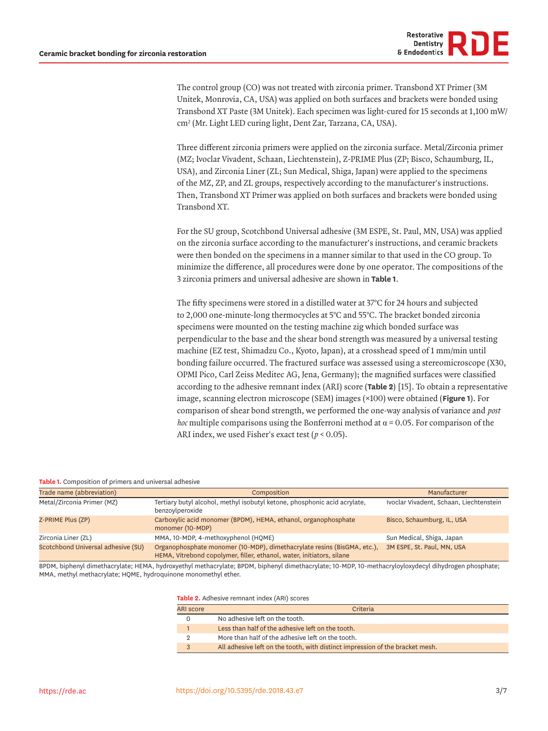<span id="page-2-2"></span>

The control group (CO) was not treated with zirconia primer. Transbond XT Primer (3M Unitek, Monrovia, CA, USA) was applied on both surfaces and brackets were bonded using Transbond XT Paste (3M Unitek). Each specimen was light-cured for 15 seconds at 1,100 mW/ cm2 (Mr. Light LED curing light, Dent Zar, Tarzana, CA, USA).

Three different zirconia primers were applied on the zirconia surface. Metal/Zirconia primer (MZ; Ivoclar Vivadent, Schaan, Liechtenstein), Z-PRIME Plus (ZP; Bisco, Schaumburg, IL, USA), and Zirconia Liner (ZL; Sun Medical, Shiga, Japan) were applied to the specimens of the MZ, ZP, and ZL groups, respectively according to the manufacturer's instructions. Then, Transbond XT Primer was applied on both surfaces and brackets were bonded using Transbond XT.

For the SU group, Scotchbond Universal adhesive (3M ESPE, St. Paul, MN, USA) was applied on the zirconia surface according to the manufacturer's instructions, and ceramic brackets were then bonded on the specimens in a manner similar to that used in the CO group. To minimize the difference, all procedures were done by one operator. The compositions of the 3 zirconia primers and universal adhesive are shown in **[Table 1](#page-2-0)**.

The fifty specimens were stored in a distilled water at 37°C for 24 hours and subjected to 2,000 one-minute-long thermocycles at 5°C and 55°C. The bracket bonded zirconia specimens were mounted on the testing machine zig which bonded surface was perpendicular to the base and the shear bond strength was measured by a universal testing machine (EZ test, Shimadzu Co., Kyoto, Japan), at a crosshead speed of 1 mm/min until bonding failure occurred. The fractured surface was assessed using a stereomicroscope (X30, OPMI Pico, Carl Zeiss Meditec AG, Jena, Germany); the magnified surfaces were classified according to the adhesive remnant index (ARI) score (**[Table 2](#page-2-1)**) [[15](#page-6-5)]. To obtain a representative image, scanning electron microscope (SEM) images (×100) were obtained (**[Figure 1](#page-3-0)**). For comparison of shear bond strength, we performed the one-way analysis of variance and *post hoc* multiple comparisons using the Bonferroni method at  $\alpha$  = 0.05. For comparison of the ARI index, we used Fisher's exact test  $(p < 0.05)$ .

#### <span id="page-2-0"></span>**Table 1.** Composition of primers and universal adhesive

| Trade name (abbreviation)          | Composition                                                                                                                                      | Manufacturer                            |  |
|------------------------------------|--------------------------------------------------------------------------------------------------------------------------------------------------|-----------------------------------------|--|
| Metal/Zirconia Primer (MZ)         | Tertiary butyl alcohol, methyl isobutyl ketone, phosphonic acid acrylate,<br>benzoylperoxide                                                     | Ivoclar Vivadent, Schaan, Liechtenstein |  |
| Z-PRIME Plus (ZP)                  | Carboxylic acid monomer (BPDM), HEMA, ethanol, organophosphate<br>monomer (10-MDP)                                                               | Bisco, Schaumburg, IL, USA              |  |
| Zirconia Liner (ZL)                | MMA, 10-MDP, 4-methoxyphenol (HQME)                                                                                                              | Sun Medical, Shiga, Japan               |  |
| Scotchbond Universal adhesive (SU) | Organophosphate monomer (10-MDP), dimethacrylate resins (BisGMA, etc.),<br>HEMA, Vitrebond copolymer, filler, ethanol, water, initiators, silane | 3M ESPE, St. Paul, MN, USA              |  |

BPDM, biphenyl dimethacrylate; HEMA, hydroxyethyl methacrylate; BPDM, biphenyl dimethacrylate; 10-MDP, 10-methacryloyloxydecyl dihydrogen phosphate; MMA, methyl methacrylate; HQME, hydroquinone monomethyl ether.

<span id="page-2-1"></span>**Table 2.** Adhesive remnant index (ARI) scores

| <b>ARI score</b> | Criteria                                                                      |  |  |  |
|------------------|-------------------------------------------------------------------------------|--|--|--|
|                  | No adhesive left on the tooth.                                                |  |  |  |
|                  | Less than half of the adhesive left on the tooth.                             |  |  |  |
| 2                | More than half of the adhesive left on the tooth.                             |  |  |  |
| 3                | All adhesive left on the tooth, with distinct impression of the bracket mesh. |  |  |  |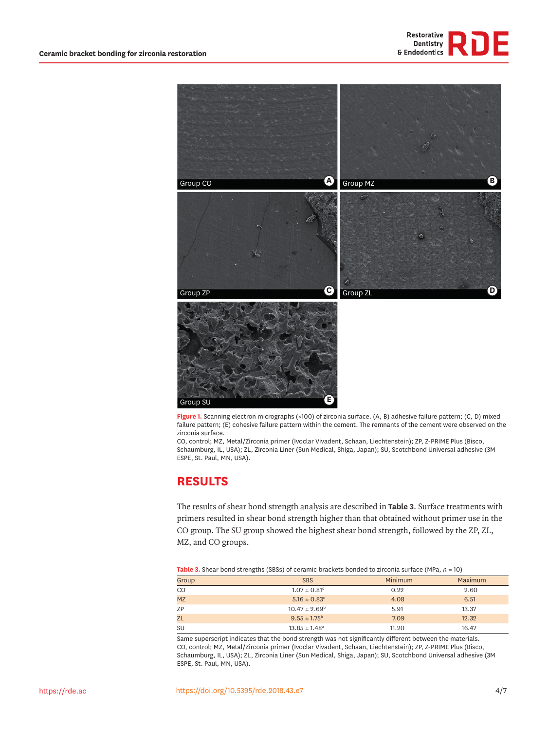



<span id="page-3-0"></span>**Figure 1.** Scanning electron micrographs (×100) of zirconia surface. (A, B) adhesive failure pattern; (C, D) mixed failure pattern; (E) cohesive failure pattern within the cement. The remnants of the cement were observed on the zirconia surface.

CO, control; MZ, Metal/Zirconia primer (Ivoclar Vivadent, Schaan, Liechtenstein); ZP, Z-PRIME Plus (Bisco, Schaumburg, IL, USA); ZL, Zirconia Liner (Sun Medical, Shiga, Japan); SU, Scotchbond Universal adhesive (3M ESPE, St. Paul, MN, USA).

## **RESULTS**

The results of shear bond strength analysis are described in **[Table 3](#page-3-1)**. Surface treatments with primers resulted in shear bond strength higher than that obtained without primer use in the CO group. The SU group showed the highest shear bond strength, followed by the ZP, ZL, MZ, and CO groups.

<span id="page-3-1"></span>**Table 3.** Shear bond strengths (SBSs) of ceramic brackets bonded to zirconia surface (MPa, *n* = 10)

| Group         | <b>SBS</b>                   | Minimum | <b>Maximum</b> |
|---------------|------------------------------|---------|----------------|
| <sub>CO</sub> | $1.07 \pm 0.81$ <sup>d</sup> | 0.22    | 2.60           |
| <b>MZ</b>     | $5.16 \pm 0.83$ <sup>c</sup> | 4.08    | 6.51           |
| <b>ZP</b>     | $10.47 \pm 2.69^{\rm b}$     | 5.91    | 13.37          |
| ZL            | $9.55 \pm 1.75^{\circ}$      | 7.09    | 12.32          |
| SU            | $13.85 \pm 1.48^a$           | 11.20   | 16.47          |

Same superscript indicates that the bond strength was not significantly different between the materials. CO, control; MZ, Metal/Zirconia primer (Ivoclar Vivadent, Schaan, Liechtenstein); ZP, Z-PRIME Plus (Bisco, Schaumburg, IL, USA); ZL, Zirconia Liner (Sun Medical, Shiga, Japan); SU, Scotchbond Universal adhesive (3M ESPE, St. Paul, MN, USA).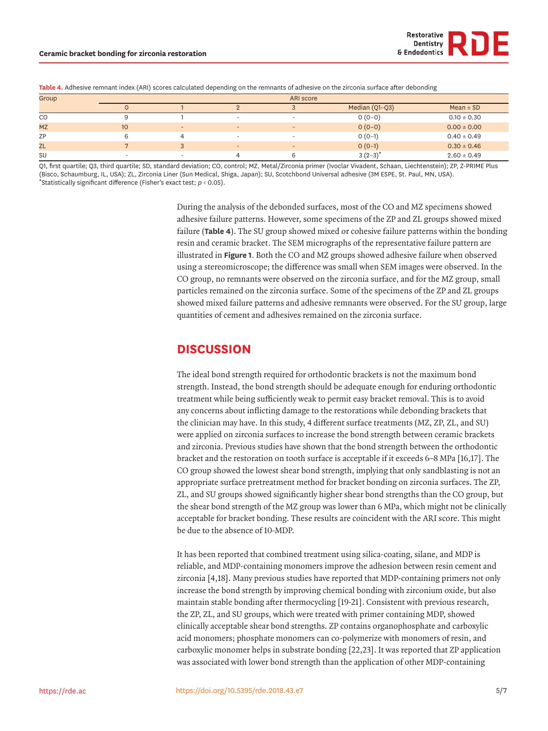| <b>Table 4.</b> Additional relationship with a control calculated depending on the remnants of addesive on the zircoma surface aren deponding |                 |           |                          |                          |                  |                 |  |  |
|-----------------------------------------------------------------------------------------------------------------------------------------------|-----------------|-----------|--------------------------|--------------------------|------------------|-----------------|--|--|
| Group                                                                                                                                         |                 | ARI score |                          |                          |                  |                 |  |  |
|                                                                                                                                               |                 |           |                          |                          | Median $(Q1-Q3)$ | Mean $\pm$ SD   |  |  |
| CO                                                                                                                                            |                 |           | $\overline{\phantom{0}}$ | $\overline{\phantom{a}}$ | $0(0-0)$         | $0.10 \pm 0.30$ |  |  |
| <b>MZ</b>                                                                                                                                     | 10 <sup>°</sup> |           | $\overline{\phantom{0}}$ | $\qquad \qquad$          | $0(0-0)$         | $0.00 \pm 0.00$ |  |  |
| ZP                                                                                                                                            |                 |           | $\overline{\phantom{0}}$ |                          | $0(0-1)$         | $0.40 \pm 0.49$ |  |  |
| ZL                                                                                                                                            |                 |           | $\overline{\phantom{0}}$ | $\qquad \qquad$          | $0(0-1)$         | $0.30 \pm 0.46$ |  |  |
| SU                                                                                                                                            |                 |           |                          |                          | $3(2-3)^*$       | $2.60 \pm 0.49$ |  |  |

<span id="page-4-0"></span>**Table 4.** Adhesive remnant index (ARI) scores calculated depending on the remnants of adhesive on the zirconia surface after debonding

Q1, first quartile; Q3, third quartile; SD, standard deviation; CO, control; MZ, Metal/Zirconia primer (Ivoclar Vivadent, Schaan, Liechtenstein); ZP, Z-PRIME Plus (Bisco, Schaumburg, IL, USA); ZL, Zirconia Liner (Sun Medical, Shiga, Japan); SU, Scotchbond Universal adhesive (3M ESPE, St. Paul, MN, USA). \*Statistically significant difference (Fisher's exact test; *p* < 0.05).

> During the analysis of the debonded surfaces, most of the CO and MZ specimens showed adhesive failure patterns. However, some specimens of the ZP and ZL groups showed mixed failure (**[Table 4](#page-4-0)**). The SU group showed mixed or cohesive failure patterns within the bonding resin and ceramic bracket. The SEM micrographs of the representative failure pattern are illustrated in **[Figure 1](#page-3-0)**. Both the CO and MZ groups showed adhesive failure when observed using a stereomicroscope; the difference was small when SEM images were observed. In the CO group, no remnants were observed on the zirconia surface, and for the MZ group, small particles remained on the zirconia surface. Some of the specimens of the ZP and ZL groups showed mixed failure patterns and adhesive remnants were observed. For the SU group, large quantities of cement and adhesives remained on the zirconia surface.

## **DISCUSSION**

<span id="page-4-2"></span>The ideal bond strength required for orthodontic brackets is not the maximum bond strength. Instead, the bond strength should be adequate enough for enduring orthodontic treatment while being sufficiently weak to permit easy bracket removal. This is to avoid any concerns about inflicting damage to the restorations while debonding brackets that the clinician may have. In this study, 4 different surface treatments (MZ, ZP, ZL, and SU) were applied on zirconia surfaces to increase the bond strength between ceramic brackets and zirconia. Previous studies have shown that the bond strength between the orthodontic bracket and the restoration on tooth surface is acceptable if it exceeds 6–8 MPa [[16,](#page-6-6)[17\]](#page-6-7). The CO group showed the lowest shear bond strength, implying that only sandblasting is not an appropriate surface pretreatment method for bracket bonding on zirconia surfaces. The ZP, ZL, and SU groups showed significantly higher shear bond strengths than the CO group, but the shear bond strength of the MZ group was lower than 6 MPa, which might not be clinically acceptable for bracket bonding. These results are coincident with the ARI score. This might be due to the absence of 10-MDP.

<span id="page-4-4"></span><span id="page-4-3"></span><span id="page-4-1"></span>It has been reported that combined treatment using silica-coating, silane, and MDP is reliable, and MDP-containing monomers improve the adhesion between resin cement and zirconia [[4,](#page-5-3)[18\]](#page-6-8). Many previous studies have reported that MDP-containing primers not only increase the bond strength by improving chemical bonding with zirconium oxide, but also maintain stable bonding after thermocycling [\[19](#page-6-9)[-21](#page-6-10)]. Consistent with previous research, the ZP, ZL, and SU groups, which were treated with primer containing MDP, showed clinically acceptable shear bond strengths. ZP contains organophosphate and carboxylic acid monomers; phosphate monomers can co-polymerize with monomers of resin, and carboxylic monomer helps in substrate bonding [\[22](#page-6-11)[,23](#page-6-12)]. It was reported that ZP application was associated with lower bond strength than the application of other MDP-containing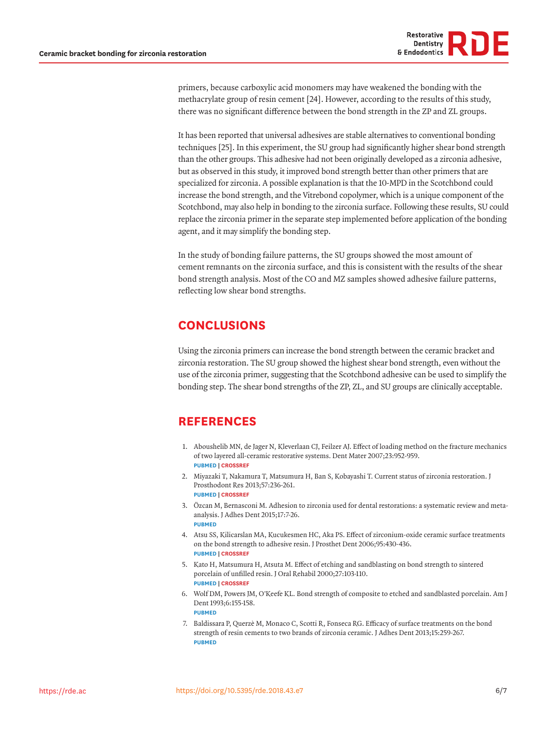

<span id="page-5-6"></span>primers, because carboxylic acid monomers may have weakened the bonding with the methacrylate group of resin cement [\[24\]](#page-6-13). However, according to the results of this study, there was no significant difference between the bond strength in the ZP and ZL groups.

<span id="page-5-7"></span>It has been reported that universal adhesives are stable alternatives to conventional bonding techniques [\[25](#page-6-14)]. In this experiment, the SU group had significantly higher shear bond strength than the other groups. This adhesive had not been originally developed as a zirconia adhesive, but as observed in this study, it improved bond strength better than other primers that are specialized for zirconia. A possible explanation is that the 10-MPD in the Scotchbond could increase the bond strength, and the Vitrebond copolymer, which is a unique component of the Scotchbond, may also help in bonding to the zirconia surface. Following these results, SU could replace the zirconia primer in the separate step implemented before application of the bonding agent, and it may simplify the bonding step.

In the study of bonding failure patterns, the SU groups showed the most amount of cement remnants on the zirconia surface, and this is consistent with the results of the shear bond strength analysis. Most of the CO and MZ samples showed adhesive failure patterns, reflecting low shear bond strengths.

## **CONCLUSIONS**

Using the zirconia primers can increase the bond strength between the ceramic bracket and zirconia restoration. The SU group showed the highest shear bond strength, even without the use of the zirconia primer, suggesting that the Scotchbond adhesive can be used to simplify the bonding step. The shear bond strengths of the ZP, ZL, and SU groups are clinically acceptable.

# **REFERENCES**

- <span id="page-5-0"></span>[1.](#page-1-0) Aboushelib MN, de Jager N, Kleverlaan CJ, Feilzer AJ. Effect of loading method on the fracture mechanics of two layered all-ceramic restorative systems. Dent Mater 2007;23:952-959. **[PUBMED](http://www.ncbi.nlm.nih.gov/pubmed/16979230) | [CROSSREF](https://doi.org/10.1016/j.dental.2006.06.036)**
- <span id="page-5-1"></span>[2.](#page-1-0) Miyazaki T, Nakamura T, Matsumura H, Ban S, Kobayashi T. Current status of zirconia restoration. J Prosthodont Res 2013;57:236-261. **[PUBMED](http://www.ncbi.nlm.nih.gov/pubmed/24140561) | [CROSSREF](https://doi.org/10.1016/j.jpor.2013.09.001)**
- <span id="page-5-2"></span>[3.](#page-1-1) Özcan M, Bernasconi M. Adhesion to zirconia used for dental restorations: a systematic review and metaanalysis. J Adhes Dent 2015;17:7-26. **[PUBMED](http://www.ncbi.nlm.nih.gov/pubmed/25646166)**
- <span id="page-5-3"></span>[4.](#page-4-1) Atsu SS, Kilicarslan MA, Kucukesmen HC, Aka PS. Effect of zirconium-oxide ceramic surface treatments on the bond strength to adhesive resin. J Prosthet Dent 2006;95:430-436. **[PUBMED](http://www.ncbi.nlm.nih.gov/pubmed/16765155) | [CROSSREF](https://doi.org/10.1016/j.prosdent.2006.03.016)**
- <span id="page-5-4"></span>[5.](#page-1-2) Kato H, Matsumura H, Atsuta M. Effect of etching and sandblasting on bond strength to sintered porcelain of unfilled resin. J Oral Rehabil 2000;27:103-110. **[PUBMED](http://www.ncbi.nlm.nih.gov/pubmed/10672145) | [CROSSREF](https://doi.org/10.1046/j.1365-2842.2000.00489.x)**
- 6. Wolf DM, Powers JM, O'Keefe KL. Bond strength of composite to etched and sandblasted porcelain. Am J Dent 1993;6:155-158. **[PUBMED](http://www.ncbi.nlm.nih.gov/pubmed/8240779)**
- <span id="page-5-5"></span>[7.](#page-1-2) Baldissara P, Querzè M, Monaco C, Scotti R, Fonseca RG. Efficacy of surface treatments on the bond strength of resin cements to two brands of zirconia ceramic. J Adhes Dent 2013;15:259-267. **[PUBMED](http://www.ncbi.nlm.nih.gov/pubmed/23653899)**